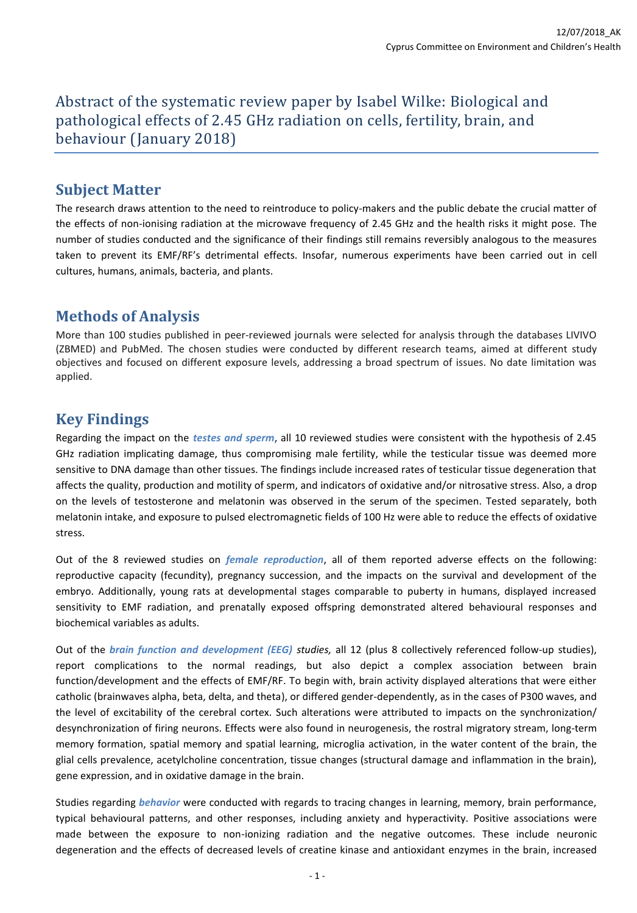Abstract of the systematic review paper by Isabel Wilke: Biological and pathological effects of 2.45 GHz radiation on cells, fertility, brain, and behaviour (January 2018)

### **Subject Matter**

The research draws attention to the need to reintroduce to policy-makers and the public debate the crucial matter of the effects of non-ionising radiation at the microwave frequency of 2.45 GHz and the health risks it might pose. The number of studies conducted and the significance of their findings still remains reversibly analogous to the measures taken to prevent its EMF/RF's detrimental effects. Insofar, numerous experiments have been carried out in cell cultures, humans, animals, bacteria, and plants.

## **Methods of Analysis**

More than 100 studies published in peer-reviewed journals were selected for analysis through the databases LIVIVO (ZBMED) and PubMed. The chosen studies were conducted by different research teams, aimed at different study objectives and focused on different exposure levels, addressing a broad spectrum of issues. No date limitation was applied.

# **Key Findings**

Regarding the impact on the *testes and sperm*, all 10 reviewed studies were consistent with the hypothesis of 2.45 GHz radiation implicating damage, thus compromising male fertility, while the testicular tissue was deemed more sensitive to DNA damage than other tissues. The findings include increased rates of testicular tissue degeneration that affects the quality, production and motility of sperm, and indicators of oxidative and/or nitrosative stress. Also, a drop on the levels of testosterone and melatonin was observed in the serum of the specimen. Tested separately, both melatonin intake, and exposure to pulsed electromagnetic fields of 100 Hz were able to reduce the effects of oxidative stress.

Out of the 8 reviewed studies on *female reproduction*, all of them reported adverse effects on the following: reproductive capacity (fecundity), pregnancy succession, and the impacts on the survival and development of the embryo. Additionally, young rats at developmental stages comparable to puberty in humans, displayed increased sensitivity to EMF radiation, and prenatally exposed offspring demonstrated altered behavioural responses and biochemical variables as adults.

Out of the *brain function and development (EEG) studies,* all 12 (plus 8 collectively referenced follow-up studies), report complications to the normal readings, but also depict a complex association between brain function/development and the effects of EMF/RF. To begin with, brain activity displayed alterations that were either catholic (brainwaves alpha, beta, delta, and theta), or differed gender-dependently, as in the cases of P300 waves, and the level of excitability of the cerebral cortex. Such alterations were attributed to impacts on the synchronization/ desynchronization of firing neurons. Effects were also found in neurogenesis, the rostral migratory stream, long-term memory formation, spatial memory and spatial learning, microglia activation, in the water content of the brain, the glial cells prevalence, acetylcholine concentration, tissue changes (structural damage and inflammation in the brain), gene expression, and in oxidative damage in the brain.

Studies regarding *behavior* were conducted with regards to tracing changes in learning, memory, brain performance, typical behavioural patterns, and other responses, including anxiety and hyperactivity. Positive associations were made between the exposure to non-ionizing radiation and the negative outcomes. These include neuronic degeneration and the effects of decreased levels of creatine kinase and antioxidant enzymes in the brain, increased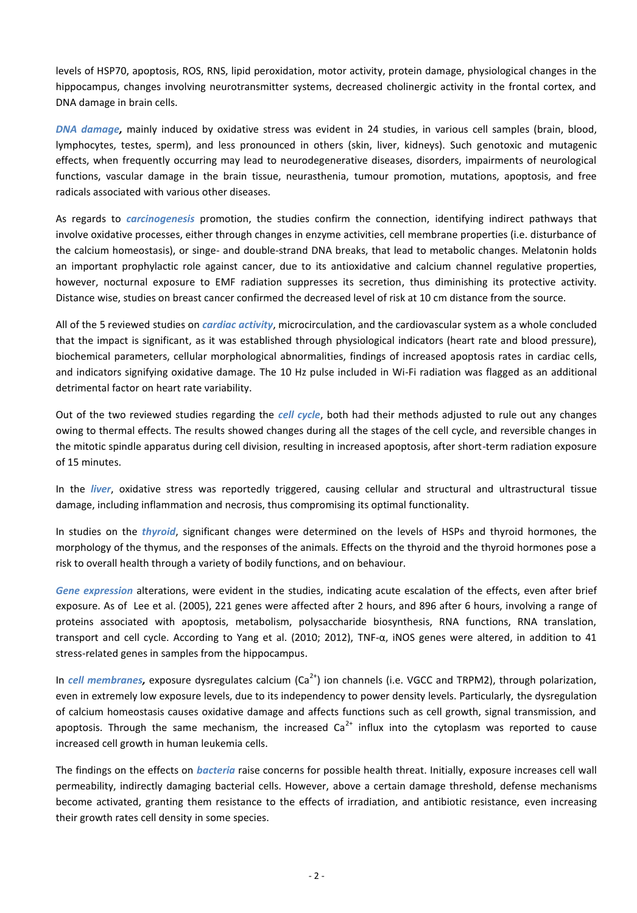levels of HSP70, apoptosis, ROS, RNS, lipid peroxidation, motor activity, protein damage, physiological changes in the hippocampus, changes involving neurotransmitter systems, decreased cholinergic activity in the frontal cortex, and DNA damage in brain cells.

*DNA damage,* mainly induced by oxidative stress was evident in 24 studies, in various cell samples (brain, blood, lymphocytes, testes, sperm), and less pronounced in others (skin, liver, kidneys). Such genotoxic and mutagenic effects, when frequently occurring may lead to neurodegenerative diseases, disorders, impairments of neurological functions, vascular damage in the brain tissue, neurasthenia, tumour promotion, mutations, apoptosis, and free radicals associated with various other diseases.

As regards to *carcinogenesis* promotion, the studies confirm the connection, identifying indirect pathways that involve oxidative processes, either through changes in enzyme activities, cell membrane properties (i.e. disturbance of the calcium homeostasis), or singe- and double-strand DNA breaks, that lead to metabolic changes. Melatonin holds an important prophylactic role against cancer, due to its antioxidative and calcium channel regulative properties, however, nocturnal exposure to EMF radiation suppresses its secretion, thus diminishing its protective activity. Distance wise, studies on breast cancer confirmed the decreased level of risk at 10 cm distance from the source.

All of the 5 reviewed studies on *cardiac activity*, microcirculation, and the cardiovascular system as a whole concluded that the impact is significant, as it was established through physiological indicators (heart rate and blood pressure), biochemical parameters, cellular morphological abnormalities, findings of increased apoptosis rates in cardiac cells, and indicators signifying oxidative damage. The 10 Hz pulse included in Wi-Fi radiation was flagged as an additional detrimental factor on heart rate variability.

Out of the two reviewed studies regarding the *cell cycle*, both had their methods adjusted to rule out any changes owing to thermal effects. The results showed changes during all the stages of the cell cycle, and reversible changes in the mitotic spindle apparatus during cell division, resulting in increased apoptosis, after short-term radiation exposure of 15 minutes.

In the *liver*, oxidative stress was reportedly triggered, causing cellular and structural and ultrastructural tissue damage, including inflammation and necrosis, thus compromising its optimal functionality.

In studies on the *thyroid*, significant changes were determined on the levels of HSPs and thyroid hormones, the morphology of the thymus, and the responses of the animals. Effects on the thyroid and the thyroid hormones pose a risk to overall health through a variety of bodily functions, and on behaviour.

*Gene expression* alterations, were evident in the studies, indicating acute escalation of the effects, even after brief exposure. As of Lee et al. (2005), 221 genes were affected after 2 hours, and 896 after 6 hours, involving a range of proteins associated with apoptosis, metabolism, polysaccharide biosynthesis, RNA functions, RNA translation, transport and cell cycle. According to Yang et al. (2010; 2012), TNF- $\alpha$ , iNOS genes were altered, in addition to 41 stress-related genes in samples from the hippocampus.

In *cell membranes*, exposure dysregulates calcium (Ca<sup>2+</sup>) ion channels (i.e. VGCC and TRPM2), through polarization, even in extremely low exposure levels, due to its independency to power density levels. Particularly, the dysregulation of calcium homeostasis causes oxidative damage and affects functions such as cell growth, signal transmission, and apoptosis. Through the same mechanism, the increased  $Ca<sup>2+</sup>$  influx into the cytoplasm was reported to cause increased cell growth in human leukemia cells.

The findings on the effects on *bacteria* raise concerns for possible health threat. Initially, exposure increases cell wall permeability, indirectly damaging bacterial cells. However, above a certain damage threshold, defense mechanisms become activated, granting them resistance to the effects of irradiation, and antibiotic resistance, even increasing their growth rates cell density in some species.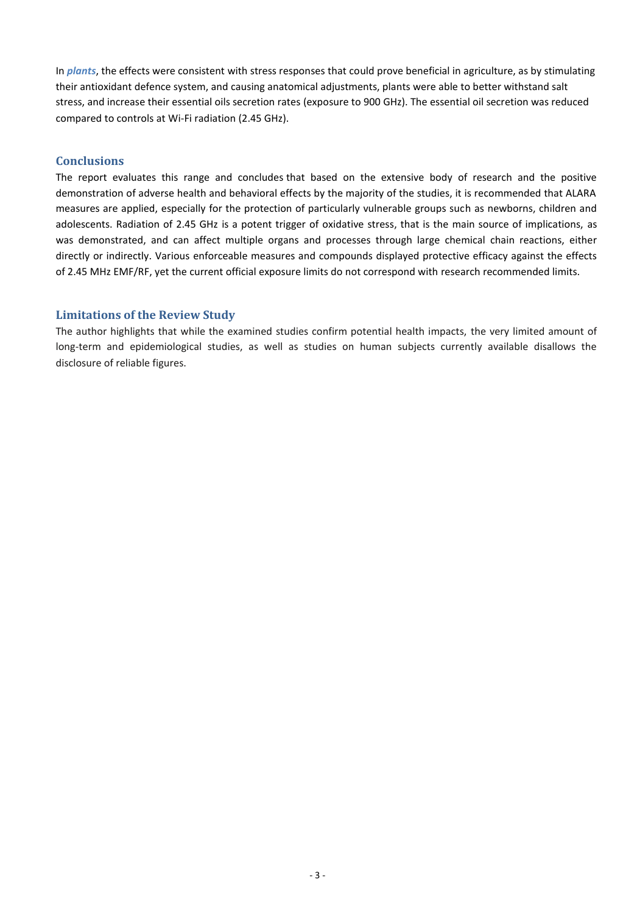In *plants*, the effects were consistent with stress responses that could prove beneficial in agriculture, as by stimulating their antioxidant defence system, and causing anatomical adjustments, plants were able to better withstand salt stress, and increase their essential oils secretion rates (exposure to 900 GHz). The essential oil secretion was reduced compared to controls at Wi-Fi radiation (2.45 GHz).

#### **Conclusions**

The report evaluates this range and concludes that based on the extensive body of research and the positive demonstration of adverse health and behavioral effects by the majority of the studies, it is recommended that ALARA measures are applied, especially for the protection of particularly vulnerable groups such as newborns, children and adolescents. Radiation of 2.45 GHz is a potent trigger of oxidative stress, that is the main source of implications, as was demonstrated, and can affect multiple organs and processes through large chemical chain reactions, either directly or indirectly. Various enforceable measures and compounds displayed protective efficacy against the effects of 2.45 MHz EMF/RF, yet the current official exposure limits do not correspond with research recommended limits.

#### **Limitations of the Review Study**

The author highlights that while the examined studies confirm potential health impacts, the very limited amount of long-term and epidemiological studies, as well as studies on human subjects currently available disallows the disclosure of reliable figures.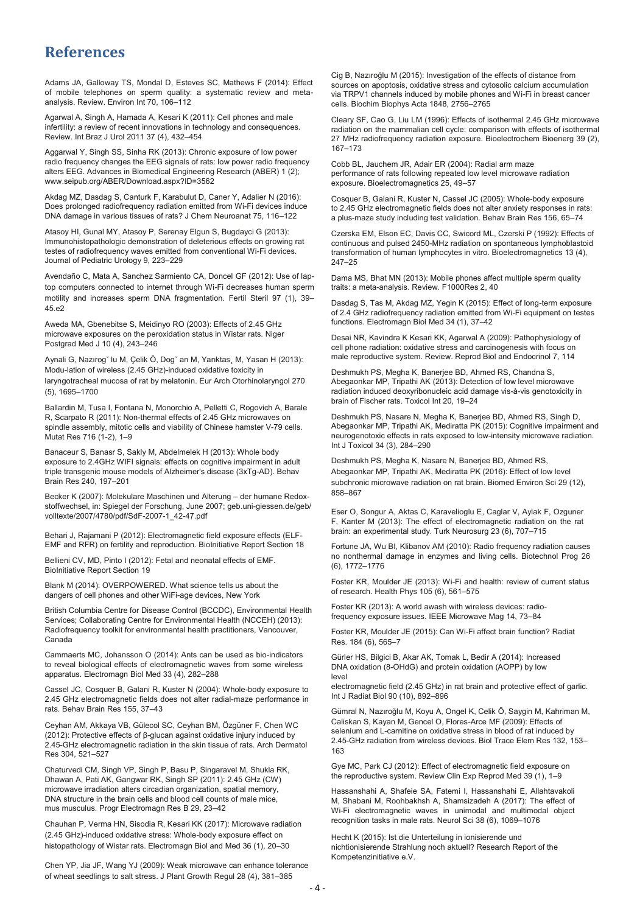### **References**

Adams JA, Galloway TS, Mondal D, Esteves SC, Mathews F (2014): Effect of mobile telephones on sperm quality: a systematic review and metaanalysis. Review. Environ Int 70, 106–112

Agarwal A, Singh A, Hamada A, Kesari K (2011): Cell phones and male infertility: a review of recent innovations in technology and consequences. Review. Int Braz J Urol 2011 37 (4), 432–454

Aggarwal Y, Singh SS, Sinha RK (2013): Chronic exposure of low power radio frequency changes the EEG signals of rats: low power radio frequency alters EEG. Advances in Biomedical Engineering Research (ABER) 1 (2); www.seipub.org/ABER/Download.aspx?ID=3562

Akdag MZ, Dasdag S, Canturk F, Karabulut D, Caner Y, Adalier N (2016): Does prolonged radiofrequency radiation emitted from Wi-Fi devices induce DNA damage in various tissues of rats? J Chem Neuroanat 75, 116–122

Atasoy HI, Gunal MY, Atasoy P, Serenay Elgun S, Bugdayci G (2013): Immunohistopathologic demonstration of deleterious effects on growing rat testes of radiofrequency waves emitted from conventional Wi-Fi devices. Journal of Pediatric Urology 9, 223–229

Avendaño C, Mata A, Sanchez Sarmiento CA, Doncel GF (2012): Use of laptop computers connected to internet through Wi-Fi decreases human sperm motility and increases sperm DNA fragmentation. Fertil Steril 97 (1), 39– 45.e2

Aweda MA, Gbenebitse S, Meidinyo RO (2003): Effects of 2.45 GHz microwave exposures on the peroxidation status in Wistar rats. Niger Postgrad Med J 10 (4), 243–246

Aynali G, Nazırogˇ lu M, Çelik Ö, Dogˇ an M, Yarıktas¸ M, Yasan H (2013): Modu-lation of wireless (2.45 GHz)-induced oxidative toxicity in laryngotracheal mucosa of rat by melatonin. Eur Arch Otorhinolaryngol 270 (5), 1695–1700

Ballardin M, Tusa I, Fontana N, Monorchio A, Pelletti C, Rogovich A, Barale R, Scarpato R (2011): Non-thermal effects of 2.45 GHz microwaves on spindle assembly, mitotic cells and viability of Chinese hamster V-79 cells. Mutat Res 716 (1-2), 1–9

Banaceur S, Banasr S, Sakly M, Abdelmelek H (2013): Whole body exposure to 2.4GHz WIFI signals: effects on cognitive impairment in adult triple transgenic mouse models of Alzheimer's disease (3xTg-AD). Behav Brain Res 240, 197–201

Becker K (2007): Molekulare Maschinen und Alterung – der humane Redoxstoffwechsel, in: Spiegel der Forschung, June 2007; geb.uni-giessen.de/geb/ volltexte/2007/4780/pdf/SdF-2007-1\_42-47.pdf

Behari J, Rajamani P (2012): Electromagnetic field exposure effects (ELF-EMF and RFR) on fertility and reproduction. BioInitiative Report Section 18

Bellieni CV, MD, Pinto I (2012): Fetal and neonatal effects of EMF. BioInitiative Report Section 19

Blank M (2014): OVERPOWERED. What science tells us about the dangers of cell phones and other WiFi-age devices, New York

British Columbia Centre for Disease Control (BCCDC), Environmental Health Services; Collaborating Centre for Environmental Health (NCCEH) (2013): Radiofrequency toolkit for environmental health practitioners, Vancouver, Canada

Cammaerts MC, Johansson O (2014): Ants can be used as bio-indicators to reveal biological effects of electromagnetic waves from some wireless apparatus. Electromagn Biol Med 33 (4), 282–288

Cassel JC, Cosquer B, Galani R, Kuster N (2004): Whole-body exposure to 2.45 GHz electromagnetic fields does not alter radial-maze performance in rats. Behav Brain Res 155, 37–43

Ceyhan AM, Akkaya VB, Gülecol SC, Ceyhan BM, Özgüner F, Chen WC (2012): Protective effects of β-glucan against oxidative injury induced by 2.45-GHz electromagnetic radiation in the skin tissue of rats. Arch Dermatol Res 304, 521–527

Chaturvedi CM, Singh VP, Singh P, Basu P, Singaravel M, Shukla RK, Dhawan A, Pati AK, Gangwar RK, Singh SP (2011): 2.45 GHz (CW) microwave irradiation alters circadian organization, spatial memory, DNA structure in the brain cells and blood cell counts of male mice, mus musculus. Progr Electromagn Res B 29, 23–42

Chauhan P, Verma HN, Sisodia R, Kesari KK (2017): Microwave radiation (2.45 GHz)-induced oxidative stress: Whole-body exposure effect on histopathology of Wistar rats. Electromagn Biol and Med 36 (1), 20–30

Chen YP, Jia JF, Wang YJ (2009): Weak microwave can enhance tolerance of wheat seedlings to salt stress. J Plant Growth Regul 28 (4), 381–385

Cig B, Nazıroğlu M (2015): Investigation of the effects of distance from sources on apoptosis, oxidative stress and cytosolic calcium accumulation via TRPV1 channels induced by mobile phones and Wi-Fi in breast cancer cells. Biochim Biophys Acta 1848, 2756–2765

Cleary SF, Cao G, Liu LM (1996): Effects of isothermal 2.45 GHz microwave radiation on the mammalian cell cycle: comparison with effects of isothermal 27 MHz radiofrequency radiation exposure. Bioelectrochem Bioenerg 39 (2), 167–173

Cobb BL, Jauchem JR, Adair ER (2004): Radial arm maze performance of rats following repeated low level microwave radiation exposure. Bioelectromagnetics 25, 49–57

Cosquer B, Galani R, Kuster N, Cassel JC (2005): Whole-body exposure to 2.45 GHz electromagnetic fields does not alter anxiety responses in rats: a plus-maze study including test validation. Behav Brain Res 156, 65–74

Czerska EM, Elson EC, Davis CC, Swicord ML, Czerski P (1992): Effects of continuous and pulsed 2450-MHz radiation on spontaneous lymphoblastoid transformation of human lymphocytes in vitro. Bioelectromagnetics 13 (4), 247–25

Dama MS, Bhat MN (2013): Mobile phones affect multiple sperm quality traits: a meta-analysis. Review. F1000Res 2, 40

Dasdag S, Tas M, Akdag MZ, Yegin K (2015): Effect of long-term exposure of 2.4 GHz radiofrequency radiation emitted from Wi-Fi equipment on testes functions. Electromagn Biol Med 34 (1), 37–42

Desai NR, Kavindra K Kesari KK, Agarwal A (2009): Pathophysiology of cell phone radiation: oxidative stress and carcinogenesis with focus on male reproductive system. Review. Reprod Biol and Endocrinol 7, 114

Deshmukh PS, Megha K, Banerjee BD, Ahmed RS, Chandna S, Abegaonkar MP, Tripathi AK (2013): Detection of low level microwave radiation induced deoxyribonucleic acid damage vis-à-vis genotoxicity in brain of Fischer rats. Toxicol Int 20, 19–24

Deshmukh PS, Nasare N, Megha K, Banerjee BD, Ahmed RS, Singh D, Abegaonkar MP, Tripathi AK, Mediratta PK (2015): Cognitive impairment and neurogenotoxic effects in rats exposed to low-intensity microwave radiation. Int J Toxicol 34 (3), 284–290

Deshmukh PS, Megha K, Nasare N, Banerjee BD, Ahmed RS, Abegaonkar MP, Tripathi AK, Mediratta PK (2016): Effect of low level subchronic microwave radiation on rat brain. Biomed Environ Sci 29 (12), 858–867

Eser O, Songur A, Aktas C, Karavelioglu E, Caglar V, Aylak F, Ozguner F, Kanter M (2013): The effect of electromagnetic radiation on the rat brain: an experimental study. Turk Neurosurg 23 (6), 707–715

Fortune JA, Wu BI, Klibanov AM (2010): Radio frequency radiation causes no nonthermal damage in enzymes and living cells. Biotechnol Prog 26 (6), 1772–1776

Foster KR, Moulder JE (2013): Wi-Fi and health: review of current status of research. Health Phys 105 (6), 561–575

Foster KR (2013): A world awash with wireless devices: radiofrequency exposure issues. IEEE Microwave Mag 14, 73–84

Foster KR, Moulder JE (2015): Can Wi-Fi affect brain function? Radiat Res. 184 (6), 565–7

Gürler HS, Bilgici B, Akar AK, Tomak L, Bedir A (2014): Increased DNA oxidation (8-OHdG) and protein oxidation (AOPP) by low level

electromagnetic field (2.45 GHz) in rat brain and protective effect of garlic. Int J Radiat Biol 90 (10), 892–896

Gümral N, Nazıroğlu M, Koyu A, Ongel K, Celik Ö, Saygin M, Kahriman M, Caliskan S, Kayan M, Gencel O, Flores-Arce MF (2009): Effects of selenium and L-carnitine on oxidative stress in blood of rat induced by 2.45-GHz radiation from wireless devices. Biol Trace Elem Res 132, 153– 163

Gye MC, Park CJ (2012): Effect of electromagnetic field exposure on the reproductive system. Review Clin Exp Reprod Med 39 (1), 1–9

Hassanshahi A, Shafeie SA, Fatemi I, Hassanshahi E, Allahtavakoli M, Shabani M, Roohbakhsh A, Shamsizadeh A (2017): The effect of Wi-Fi electromagnetic waves in unimodal and multimodal object recognition tasks in male rats. Neurol Sci 38 (6), 1069–1076

Hecht K (2015): Ist die Unterteilung in ionisierende und nichtionisierende Strahlung noch aktuell? Research Report of the Kompetenzinitiative e.V.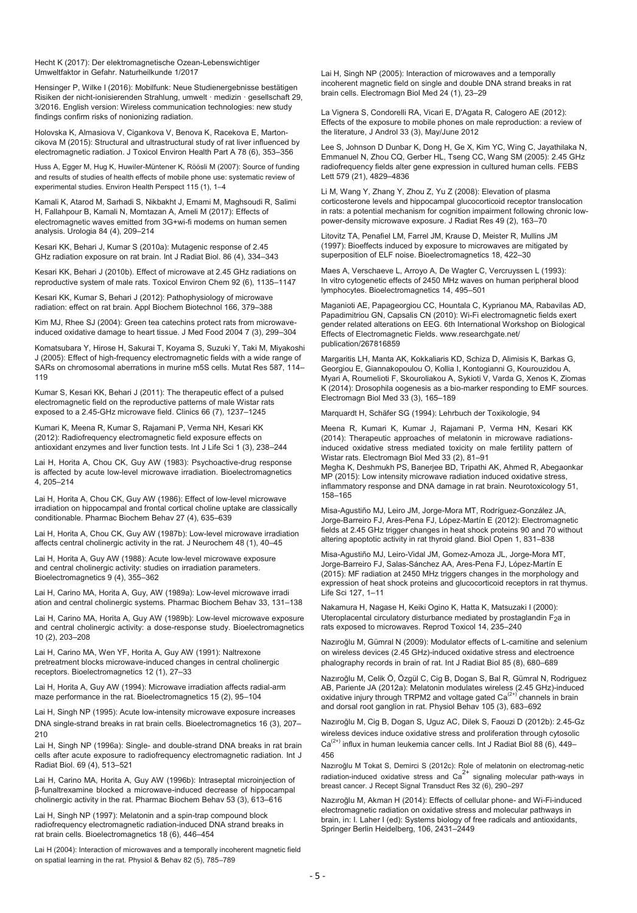Hecht K (2017): Der elektromagnetische Ozean-Lebenswichtiger Umweltfaktor in Gefahr. Naturheilkunde 1/2017

Hensinger P, Wilke I (2016): Mobilfunk: Neue Studienergebnisse bestätigen Risiken der nicht-ionisierenden Strahlung, umwelt · medizin · gesellschaft 29, 3/2016. English version: Wireless communication technologies: new study findings confirm risks of nonionizing radiation.

Holovska K, Almasiova V, Cigankova V, Benova K, Racekova E, Martoncikova M (2015): Structural and ultrastructural study of rat liver influenced by electromagnetic radiation. J Toxicol Environ Health Part A 78 (6), 353–356

Huss A, Egger M, Hug K, Huwiler-Müntener K, Röösli M (2007): Source of funding and results of studies of health effects of mobile phone use: systematic review of experimental studies. Environ Health Perspect 115 (1), 1–4

Kamali K, Atarod M, Sarhadi S, Nikbakht J, Emami M, Maghsoudi R, Salimi H, Fallahpour B, Kamali N, Momtazan A, Ameli M (2017): Effects of electromagnetic waves emitted from 3G+wi-fi modems on human semen analysis. Urologia 84 (4), 209–214

Kesari KK, Behari J, Kumar S (2010a): Mutagenic response of 2.45 GHz radiation exposure on rat brain. Int J Radiat Biol. 86 (4), 334–343

Kesari KK, Behari J (2010b). Effect of microwave at 2.45 GHz radiations on reproductive system of male rats. Toxicol Environ Chem 92 (6), 1135–1147

Kesari KK, Kumar S, Behari J (2012): Pathophysiology of microwave radiation: effect on rat brain. Appl Biochem Biotechnol 166, 379–388

Kim MJ, Rhee SJ (2004): Green tea catechins protect rats from microwaveinduced oxidative damage to heart tissue. J Med Food 2004 7 (3), 299–304

Komatsubara Y, Hirose H, Sakurai T, Koyama S, Suzuki Y, Taki M, Miyakoshi J (2005): Effect of high-frequency electromagnetic fields with a wide range of SARs on chromosomal aberrations in murine m5S cells. Mutat Res 587, 114– 119

Kumar S, Kesari KK, Behari J (2011): The therapeutic effect of a pulsed electromagnetic field on the reproductive patterns of male Wistar rats exposed to a 2.45-GHz microwave field. Clinics 66 (7), 1237–1245

Kumari K, Meena R, Kumar S, Rajamani P, Verma NH, Kesari KK (2012): Radiofrequency electromagnetic field exposure effects on antioxidant enzymes and liver function tests. Int J Life Sci 1 (3), 238–244

Lai H, Horita A, Chou CK, Guy AW (1983): Psychoactive-drug response is affected by acute low-level microwave irradiation. Bioelectromagnetics 4, 205–214

Lai H, Horita A, Chou CK, Guy AW (1986): Effect of low-level microwave irradiation on hippocampal and frontal cortical choline uptake are classically conditionable. Pharmac Biochem Behav 27 (4), 635–639

Lai H, Horita A, Chou CK, Guy AW (1987b): Low-level microwave irradiation affects central cholinergic activity in the rat. J Neurochem 48 (1), 40–45

Lai H, Horita A, Guy AW (1988): Acute low-level microwave exposure and central cholinergic activity: studies on irradiation parameters. Bioelectromagnetics 9 (4), 355–362

Lai H, Carino MA, Horita A, Guy, AW (1989a): Low-level microwave irradi ation and central cholinergic systems. Pharmac Biochem Behav 33, 131–138

Lai H, Carino MA, Horita A, Guy AW (1989b): Low-level microwave exposure and central cholinergic activity: a dose-response study. Bioelectromagnetics 10 (2), 203–208

Lai H, Carino MA, Wen YF, Horita A, Guy AW (1991): Naltrexone pretreatment blocks microwave-induced changes in central cholinergic receptors. Bioelectromagnetics 12 (1), 27–33

Lai H, Horita A, Guy AW (1994): Microwave irradiation affects radial-arm maze performance in the rat. Bioelectromagnetics 15 (2), 95–104

Lai H, Singh NP (1995): Acute low-intensity microwave exposure increases DNA single-strand breaks in rat brain cells. Bioelectromagnetics 16 (3), 207– 210

Lai H, Singh NP (1996a): Single- and double-strand DNA breaks in rat brain cells after acute exposure to radiofrequency electromagnetic radiation. Int J Radiat Biol. 69 (4), 513–521

Lai H, Carino MA, Horita A, Guy AW (1996b): Intraseptal microinjection of β-funaltrexamine blocked a microwave-induced decrease of hippocampal cholinergic activity in the rat. Pharmac Biochem Behav 53 (3), 613–616

Lai H, Singh NP (1997): Melatonin and a spin-trap compound block radiofrequency electromagnetic radiation-induced DNA strand breaks in rat brain cells. Bioelectromagnetics 18 (6), 446–454

Lai H (2004): Interaction of microwaves and a temporally incoherent magnetic field on spatial learning in the rat. Physiol & Behav 82 (5), 785–789

Lai H, Singh NP (2005): Interaction of microwaves and a temporally incoherent magnetic field on single and double DNA strand breaks in rat brain cells. Electromagn Biol Med 24 (1), 23–29

La Vignera S, Condorelli RA, Vicari E, D'Agata R, Calogero AE (2012): Effects of the exposure to mobile phones on male reproduction: a review of the literature, J Androl 33 (3), May/June 2012

Lee S, Johnson D Dunbar K, Dong H, Ge X, Kim YC, Wing C, Jayathilaka N, Emmanuel N, Zhou CQ, Gerber HL, Tseng CC, Wang SM (2005): 2.45 GHz radiofrequency fields alter gene expression in cultured human cells. FEBS Lett 579 (21), 4829–4836

Li M, Wang Y, Zhang Y, Zhou Z, Yu Z (2008): Elevation of plasma corticosterone levels and hippocampal glucocorticoid receptor translocation in rats: a potential mechanism for cognition impairment following chronic lowpower-density microwave exposure. J Radiat Res 49 (2), 163–70

Litovitz TA, Penafiel LM, Farrel JM, Krause D, Meister R, Mullins JM (1997): Bioeffects induced by exposure to microwaves are mitigated by superposition of ELF noise. Bioelectromagnetics 18, 422–30

Maes A, Verschaeve L, Arroyo A, De Wagter C, Vercruyssen L (1993): In vitro cytogenetic effects of 2450 MHz waves on human peripheral blood lymphocytes. Bioelectromagnetics 14, 495–501

Maganioti AE, Papageorgiou CC, Hountala C, Kyprianou MA, Rabavilas AD, Papadimitriou GN, Capsalis CN (2010): Wi-Fi electromagnetic fields exert gender related alterations on EEG. 6th International Workshop on Biological Effects of Electromagnetic Fields. www.researchgate.net/ publication/267816859

Margaritis LH, Manta AK, Kokkaliaris KD, Schiza D, Alimisis K, Barkas G, Georgiou E, Giannakopoulou O, Kollia I, Kontogianni G, Kourouzidou A, Myari A, Roumelioti F, Skouroliakou A, Sykioti V, Varda G, Xenos K, Ziomas K (2014): Drosophila oogenesis as a bio-marker responding to EMF sources. Electromagn Biol Med 33 (3), 165–189

Marquardt H, Schäfer SG (1994): Lehrbuch der Toxikologie, 94

Meena R, Kumari K, Kumar J, Rajamani P, Verma HN, Kesari KK (2014): Therapeutic approaches of melatonin in microwave radiationsinduced oxidative stress mediated toxicity on male fertility pattern of Wistar rats. Electromagn Biol Med 33 (2), 81–91

Megha K, Deshmukh PS, Banerjee BD, Tripathi AK, Ahmed R, Abegaonkar MP (2015): Low intensity microwave radiation induced oxidative stress, inflammatory response and DNA damage in rat brain. Neurotoxicology 51, 158–165

Misa-Agustiño MJ, Leiro JM, Jorge-Mora MT, Rodríguez-González JA, Jorge-Barreiro FJ, Ares-Pena FJ, López-Martín E (2012): Electromagnetic fields at 2.45 GHz trigger changes in heat shock proteins 90 and 70 without altering apoptotic activity in rat thyroid gland. Biol Open 1, 831–838

Misa-Agustiño MJ, Leiro-Vidal JM, Gomez-Amoza JL, Jorge-Mora MT, Jorge-Barreiro FJ, Salas-Sánchez AA, Ares-Pena FJ, López-Martín E (2015): MF radiation at 2450 MHz triggers changes in the morphology and expression of heat shock proteins and glucocorticoid receptors in rat thymus. Life Sci 127, 1–11

Nakamura H, Nagase H, Keiki Ogino K, Hatta K, Matsuzaki I (2000): Uteroplacental circulatory disturbance mediated by prostaglandin F2a in rats exposed to microwaves. Reprod Toxicol 14, 235–240

Nazıroğlu M, Gümral N (2009): Modulator effects of L-carnitine and selenium on wireless devices (2.45 GHz)-induced oxidative stress and electroence phalography records in brain of rat. Int J Radiat Biol 85 (8), 680–689

Nazıroğlu M, Celik Ö, Özgül C, Cig B, Dogan S, Bal R, Gümral N, Rodriguez AB, Pariente JA (2012a): Melatonin modulates wireless (2.45 GHz)-induced<br>oxidative injury through TRPM2 and voltage gated Ca<sup>(2+)</sup> channels in brain and dorsal root ganglion in rat. Physiol Behav 105 (3), 683–692

Nazıroğlu M, Cig B, Dogan S, Uguz AC, Dilek S, Faouzi D (2012b): 2.45-Gz wireless devices induce oxidative stress and proliferation through cytosolic  $Ca^{(2+)}$  influx in human leukemia cancer cells. Int J Radiat Biol 88 (6), 449– 456

Nazıroğlu M Tokat S, Demirci S (2012c): Role of melatonin on electromag-netic radiation-induced oxidative stress and  $Ca<sup>2+</sup>$  signaling molecular path-ways in breast cancer. J Recept Signal Transduct Res 32 (6), 290–297

Nazıroğlu M, Akman H (2014): Effects of cellular phone- and Wi-Fi-induced electromagnetic radiation on oxidative stress and molecular pathways in brain, in: I. Laher I (ed): Systems biology of free radicals and antioxidants, Springer Berlin Heidelberg, 106, 2431–2449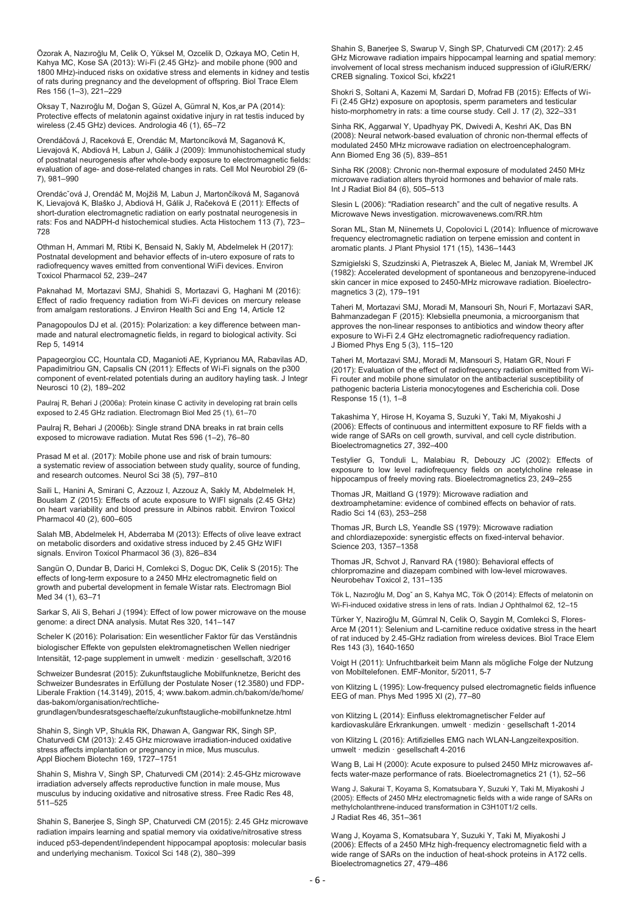Özorak A, Nazıroğlu M, Celik O, Yüksel M, Ozcelik D, Ozkaya MO, Cetin H, Kahya MC, Kose SA (2013): Wi-Fi (2.45 GHz)- and mobile phone (900 and 1800 MHz)-induced risks on oxidative stress and elements in kidney and testis of rats during pregnancy and the development of offspring. Biol Trace Elem Res 156 (1–3), 221–229

Oksay T, Nazıroğlu M, Doğan S, Güzel A, Gümral N, Kos¸ar PA (2014): Protective effects of melatonin against oxidative injury in rat testis induced by wireless (2.45 GHz) devices. Andrologia 46 (1), 65–72

Orendáčová J, Raceková E, Orendác M, Martoncíková M, Saganová K, Lievajová K, Abdiová H, Labun J, Gálik J (2009): Immunohistochemical study of postnatal neurogenesis after whole-body exposure to electromagnetic fields: evaluation of age- and dose-related changes in rats. Cell Mol Neurobiol 29 (6- 7), 981–990

Orendácˇová J, Orendáč M, Mojžiš M, Labun J, Martončíková M, Saganová K, Lievajová K, Blaško J, Abdiová H, Gálik J, Račeková E (2011): Effects of short-duration electromagnetic radiation on early postnatal neurogenesis in rats: Fos and NADPH-d histochemical studies. Acta Histochem 113 (7), 723– 728

Othman H, Ammari M, Rtibi K, Bensaid N, Sakly M, Abdelmelek H (2017): Postnatal development and behavior effects of in-utero exposure of rats to radiofrequency waves emitted from conventional WiFi devices. Environ Toxicol Pharmacol 52, 239–247

Paknahad M, Mortazavi SMJ, Shahidi S, Mortazavi G, Haghani M (2016): Effect of radio frequency radiation from Wi-Fi devices on mercury release from amalgam restorations. J Environ Health Sci and Eng 14, Article 12

Panagopoulos DJ et al. (2015): Polarization: a key difference between manmade and natural electromagnetic fields, in regard to biological activity. Sci Rep 5, 14914

Papageorgiou CC, Hountala CD, Maganioti AE, Kyprianou MA, Rabavilas AD, Papadimitriou GN, Capsalis CN (2011): Effects of Wi-Fi signals on the p300 component of event-related potentials during an auditory hayling task. J Integr Neurosci 10 (2), 189–202

Paulraj R, Behari J (2006a): Protein kinase C activity in developing rat brain cells exposed to 2.45 GHz radiation. Electromagn Biol Med 25 (1), 61–70

Paulraj R, Behari J (2006b): Single strand DNA breaks in rat brain cells exposed to microwave radiation. Mutat Res 596 (1–2), 76–80

Prasad M et al. (2017): Mobile phone use and risk of brain tumours: a systematic review of association between study quality, source of funding, and research outcomes. Neurol Sci 38 (5), 797–810

Saili L, Hanini A, Smirani C, Azzouz I, Azzouz A, Sakly M, Abdelmelek H, Bouslam Z (2015): Effects of acute exposure to WIFI signals (2.45 GHz) on heart variability and blood pressure in Albinos rabbit. Environ Toxicol Pharmacol 40 (2), 600–605

Salah MB, Abdelmelek H, Abderraba M (2013): Effects of olive leave extract on metabolic disorders and oxidative stress induced by 2.45 GHz WIFI signals. Environ Toxicol Pharmacol 36 (3), 826–834

Sangün O, Dundar B, Darici H, Comlekci S, Doguc DK, Celik S (2015): The effects of long-term exposure to a 2450 MHz electromagnetic field on growth and pubertal development in female Wistar rats. Electromagn Biol Med 34 (1), 63–71

Sarkar S, Ali S, Behari J (1994): Effect of low power microwave on the mouse genome: a direct DNA analysis. Mutat Res 320, 141–147

Scheler K (2016): Polarisation: Ein wesentlicher Faktor für das Verständnis biologischer Effekte von gepulsten elektromagnetischen Wellen niedriger Intensität, 12-page supplement in umwelt · medizin · gesellschaft, 3/2016

Schweizer Bundesrat (2015): Zukunftstaugliche Mobilfunknetze, Bericht des Schweizer Bundesrates in Erfüllung der Postulate Noser (12.3580) und FDP-Liberale Fraktion (14.3149), 2015, 4; www.bakom.admin.ch/bakom/de/home/ das-bakom/organisation/rechtlichegrundlagen/bundesratsgeschaefte/zukunftstaugliche-mobilfunknetze.html

Shahin S, Singh VP, Shukla RK, Dhawan A, Gangwar RK, Singh SP, Chaturvedi CM (2013): 2.45 GHz microwave irradiation-induced oxidative stress affects implantation or pregnancy in mice, Mus musculus. Appl Biochem Biotechn 169, 1727–1751

Shahin S, Mishra V, Singh SP, Chaturvedi CM (2014): 2.45-GHz microwave irradiation adversely affects reproductive function in male mouse, Mus musculus by inducing oxidative and nitrosative stress. Free Radic Res 48, 511–525

Shahin S, Banerjee S, Singh SP, Chaturvedi CM (2015): 2.45 GHz microwave radiation impairs learning and spatial memory via oxidative/nitrosative stress induced p53-dependent/independent hippocampal apoptosis: molecular basis and underlying mechanism. Toxicol Sci 148 (2), 380–399

Shahin S, Banerjee S, Swarup V, Singh SP, Chaturvedi CM (2017): 2.45 GHz Microwave radiation impairs hippocampal learning and spatial memory: involvement of local stress mechanism induced suppression of iGluR/ERK/ CREB signaling. Toxicol Sci, kfx221

Shokri S, Soltani A, Kazemi M, Sardari D, Mofrad FB (2015): Effects of Wi-Fi (2.45 GHz) exposure on apoptosis, sperm parameters and testicular histo-morphometry in rats: a time course study. Cell J. 17 (2), 322–331

Sinha RK, Aggarwal Y, Upadhyay PK, Dwivedi A, Keshri AK, Das BN (2008): Neural network-based evaluation of chronic non-thermal effects of modulated 2450 MHz microwave radiation on electroencephalogram. Ann Biomed Eng 36 (5), 839–851

Sinha RK (2008): Chronic non-thermal exposure of modulated 2450 MHz microwave radiation alters thyroid hormones and behavior of male rats. Int J Radiat Biol 84 (6), 505–513

Slesin L (2006): "Radiation research" and the cult of negative results. A Microwave News investigation. microwavenews.com/RR.htm

Soran ML, Stan M, Niinemets U, Copolovici L (2014): Influence of microwave frequency electromagnetic radiation on terpene emission and content in aromatic plants. J Plant Physiol 171 (15), 1436–1443

Szmigielski S, Szudzinski A, Pietraszek A, Bielec M, Janiak M, Wrembel JK (1982): Accelerated development of spontaneous and benzopyrene-induced skin cancer in mice exposed to 2450-MHz microwave radiation. Bioelectromagnetics 3 (2), 179–191

Taheri M, Mortazavi SMJ, Moradi M, Mansouri Sh, Nouri F, Mortazavi SAR, Bahmanzadegan F (2015): Klebsiella pneumonia, a microorganism that approves the non-linear responses to antibiotics and window theory after exposure to Wi-Fi 2.4 GHz electromagnetic radiofrequency radiation. J Biomed Phys Eng 5 (3), 115–120

Taheri M, Mortazavi SMJ, Moradi M, Mansouri S, Hatam GR, Nouri F (2017): Evaluation of the effect of radiofrequency radiation emitted from Wi-Fi router and mobile phone simulator on the antibacterial susceptibility of pathogenic bacteria Listeria monocytogenes and Escherichia coli. Dose Response 15 (1), 1–8

Takashima Y, Hirose H, Koyama S, Suzuki Y, Taki M, Miyakoshi J (2006): Effects of continuous and intermittent exposure to RF fields with a wide range of SARs on cell growth, survival, and cell cycle distribution. Bioelectromagnetics 27, 392–400

Testylier G, Tonduli L, Malabiau R, Debouzy JC (2002): Effects of exposure to low level radiofrequency fields on acetylcholine release in hippocampus of freely moving rats. Bioelectromagnetics 23, 249–255

Thomas JR, Maitland G (1979): Microwave radiation and dextroamphetamine: evidence of combined effects on behavior of rats. Radio Sci 14 (63), 253–258

Thomas JR, Burch LS, Yeandle SS (1979): Microwave radiation and chlordiazepoxide: synergistic effects on fixed-interval behavior. Science 203, 1357–1358

Thomas JR, Schvot J, Ranvard RA (1980): Behavioral effects of chlorpromazine and diazepam combined with low-level microwaves. Neurobehav Toxicol 2, 131–135

Tök L, Nazıroğlu M, Dogˇ an S, Kahya MC, Tök Ö (2014): Effects of melatonin on Wi-Fi-induced oxidative stress in lens of rats. Indian J Ophthalmol 62, 12–15

Türker Y, Naziroğlu M, Gümral N, Celik O, Saygin M, Comlekci S, Flores-Arce M (2011): Selenium and L-carnitine reduce oxidative stress in the heart of rat induced by 2.45-GHz radiation from wireless devices. Biol Trace Elem Res 143 (3), 1640-1650

Voigt H (2011): Unfruchtbarkeit beim Mann als mögliche Folge der Nutzung von Mobiltelefonen. EMF-Monitor, 5/2011, 5-7

von Klitzing L (1995): Low-frequency pulsed electromagnetic fields influence EEG of man. Phys Med 1995 XI (2), 77–80

von Klitzing L (2014): Einfluss elektromagnetischer Felder auf kardiovaskuläre Erkrankungen. umwelt · medizin · gesellschaft 1-2014

von Klitzing L (2016): Artifizielles EMG nach WLAN-Langzeitexposition. umwelt · medizin · gesellschaft 4-2016

Wang B, Lai H (2000): Acute exposure to pulsed 2450 MHz microwaves affects water-maze performance of rats. Bioelectromagnetics 21 (1), 52–56

Wang J, Sakurai T, Koyama S, Komatsubara Y, Suzuki Y, Taki M, Miyakoshi J (2005): Effects of 2450 MHz electromagnetic fields with a wide range of SARs on methylcholanthrene-induced transformation in C3H10T1/2 cells. J Radiat Res 46, 351–361

Wang J, Koyama S, Komatsubara Y, Suzuki Y, Taki M, Miyakoshi J (2006): Effects of a 2450 MHz high-frequency electromagnetic field with a wide range of SARs on the induction of heat-shock proteins in A172 cells. Bioelectromagnetics 27, 479–486